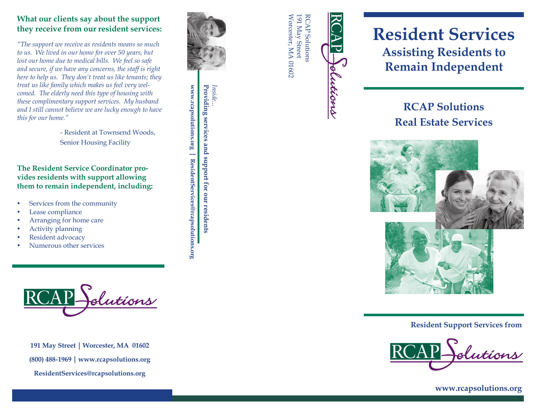### **What our clients say about the support they receive from our resident services:**

*"The support we receive as residents means so much to us. We lived in our home for over 50 years, but lost our home due to medical bills. We feel so safe and secure, if we have any concerns, the staff is right here to help us. They don't treat us like tenants; they treat us like family which makes us feel very welcomed. The elderly need this type of housing with these complimentary support services. My husband and I still cannot believe we are lucky enough to have this for our home."*

Senior Housing Facility

**The Resident Service Coordinator provides residents with support allowing them to remain independent, including:**

- Services from the community
- Lease compliance
- Arranging for home care
- Activity planning
- Resident advocacy
- Numerous other services



**191 May Street | Worcester, MA 01602 (800) 488 -1969www.rcapsolutions.org**



*Inside...*

**www.rcapsolutions.org** 

www.rcapsolutions.org | ResidentServices@rcapsolutions.org

**ResidentServices@rcapsolutions.org**

**Providing services and support for our residents**

Providing services and support for our residents

Worcester, MA 01602 Worcester, MA 01602 191 May Street 191 May Street **RCAP Solutions** RCAP Solutions

**Zions** 

# **Resident Services Assisting Residents to Remain Independent**

## **RCAP Solutions Real Estate Services**



**Resident Support Services from**

**www.rcapsolutions.org**